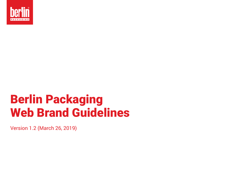

# Berlin Packaging Web Brand Guidelines

Version 1.2 (March 26, 2019)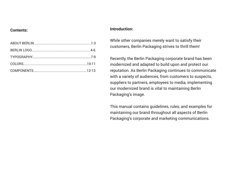#### **Contents:**

#### **Introduction:**

While other companies merely want to satisfy their customers, Berlin Packaging strives to thrill them!

Recently, the Berlin Packaging corporate brand has been modernized and adapted to build upon and protect our reputation. As Berlin Packaging continues to communicate with a variety of audiences, from customers to suspects, suppliers to partners, employees to media, implementing our modernized brand is vital to maintaining Berlin Packaging's image.

This manual contains guidelines, rules, and examples for maintaining our brand throughout all aspects of Berlin Packaging's corporate and marketing communications.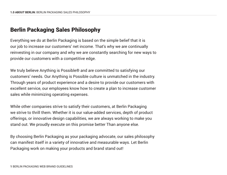### Berlin Packaging Sales Philosophy

Everything we do at Berlin Packaging is based on the simple belief that it is our job to increase our customers' net income. That's why we are continually reinvesting in our company and why we are constantly searching for new ways to provide our customers with a competitive edge.

We truly believe Anything is Possible® and are committed to satisfying our customers' needs. Our Anything is Possible culture is unmatched in the industry. Through years of product experience and a desire to provide our customers with excellent service, our employees know how to create a plan to increase customer sales while minimizing operating expenses.

While other companies strive to satisfy their customers, at Berlin Packaging we strive to thrill them. Whether it is our value-added services, depth of product offerings, or innovative design capabilities, we are always working to make you stand out. We proudly execute on this promise better Than anyone else.

By choosing Berlin Packaging as your packaging advocate, our sales philosophy can manifest itself in a variety of innovative and measurable ways. Let Berlin Packaging work on making your products and brand stand out!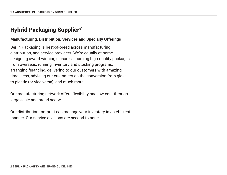### Hybrid Packaging Supplier®

#### **Manufacturing. Distribution. Services and Specialty Offerings**

Berlin Packaging is best-of-breed across manufacturing, distribution, and service providers. We're equally at home designing award-winning closures, sourcing high-quality packages from overseas, running inventory and stocking programs, arranging financing, delivering to our customers with amazing timeliness, advising our customers on the conversion from glass to plastic (or vice versa), and much more.

Our manufacturing network offers flexibility and low-cost through large scale and broad scope.

Our distribution footprint can manage your inventory in an efficient manner. Our service divisions are second to none.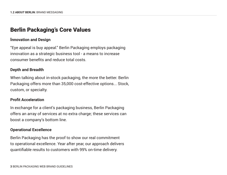#### Berlin Packaging's Core Values

#### **Innovation and Design**

"Eye appeal is buy appeal." Berlin Packaging employs packaging innovation as a strategic business tool - a means to increase consumer benefits and reduce total costs.

#### **Depth and Breadth**

When talking about in-stock packaging, the more the better. Berlin Packaging offers more than 35,000 cost-effective options... Stock, custom, or specialty.

#### **Profit Acceleration**

In exchange for a client's packaging business, Berlin Packaging offers an array of services at no extra charge; these services can boost a company's bottom line.

#### **Operational Excellence**

Berlin Packaging has the proof to show our real commitment to operational excellence. Year after year, our approach delivers quantifiable results to customers with 99% on-time delivery.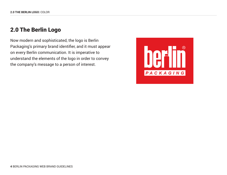#### 2.0 The Berlin Logo

Now modern and sophisticated, the logo is Berlin Packaging's primary brand identifier, and it must appear on every Berlin communication. It is imperative to understand the elements of the logo in order to convey the company's message to a person of interest.

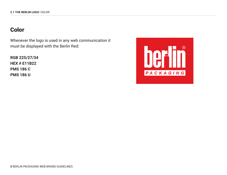### Color

Whenever the logo is used in any web communication it must be displayed with the Berlin Red:

**RGB 225/27/34 HEX # E11B22 PMS 186 C PMS 186 U**

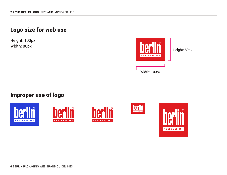### Logo size for web use

Height: 100px



Width: 100px

#### Improper use of logo









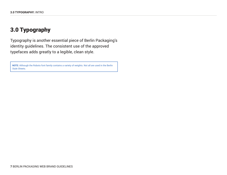### 3.0 Typography

Typography is another essential piece of Berlin Packaging's identity guidelines. The consistent use of the approved typefaces adds greatly to a legible, clean style.

**NOTE:** Although the Roboto font family contains a variety of weights. Not all are used in the Berlin Style Sheets.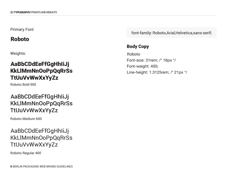#### Primary Font

### Roboto

Weights:

### AaBbCDdEeFfGgHhIiJj KkLlMmNnOoPpQqRrSs TtUuVvWwXxYyZz

Roboto Bold 900

### AaBbCDdEeFfGgHhIiJj KkLlMmNnOoPpQqRrSs TtUuVvWwXxYyZz

Roboto Medium 600

### AaBbCDdEeFfGgHhIiJj KkLlMmNnOoPpQqRrSs TtUuVvWwXxYyZz

Roboto Regular 400

font-family: Roboto,Arial,Helvetica,sans-serif;

#### Body Copy

Roboto Font-size: 31rem; /\* 16px \*/ Font-weight: 400; Line-height: 1.3125rem; /\* 21px \*/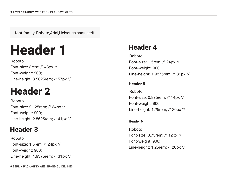font-family: Roboto,Arial,Helvetica,sans-serif;



Roboto Font-size: 3rem; /\* 48px \*/ Font-weight: 900; Line-height: 3.5625rem; /\* 57px \*/

## Header 2

Roboto Font-size: 2.125rem; /\* 34px \*/ Font-weight: 900; Line-height: 2.5625rem; /\* 41px \*/

### Header 3

Roboto Font-size: 1.5rem; /\* 24px \*/ Font-weight: 900; Line-height: 1.9375rem; /\* 31px \*/

### Header 4

Roboto Font-size: 1.5rem; /\* 24px \*/ Font-weight: 900; Line-height: 1.9375rem; /\* 31px \*/

#### Header 5

Roboto Font-size: 0.875rem; /\* 14px \*/ Font-weight: 900; Line-height: 1.25rem; /\* 20px \*/

#### Header 6

Roboto Font-size: 0.75rem; /\* 12px \*/ Font-weight: 900; Line-height: 1.25rem; /\* 20px \*/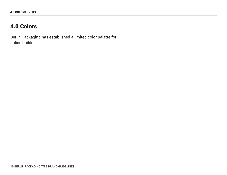### 4.0 Colors

Berlin Packaging has established a limited color palatte for online builds.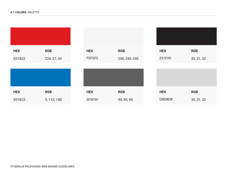| <b>HEX</b> | <b>RGB</b>  | <b>HEX</b> | <b>RGB</b>    | <b>HEX</b> | <b>RGB</b> |  |
|------------|-------------|------------|---------------|------------|------------|--|
| E01B22     | 224, 27, 34 | F5F5F5     | 245, 245, 245 | 231F20     | 35, 31, 32 |  |
|            |             |            |               |            |            |  |
|            |             |            |               |            |            |  |
|            |             |            |               |            |            |  |
| <b>HEX</b> | <b>RGB</b>  | <b>HEX</b> | <b>RGB</b>    | <b>HEX</b> | <b>RGB</b> |  |
| E01B22     | 0, 113, 188 | 5F5F5F     | 95, 95, 95    | D8D8D8     | 35, 31, 32 |  |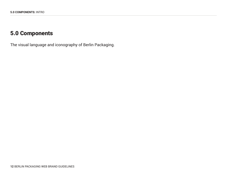### 5.0 Components

The visual language and iconography of Berlin Packaging.